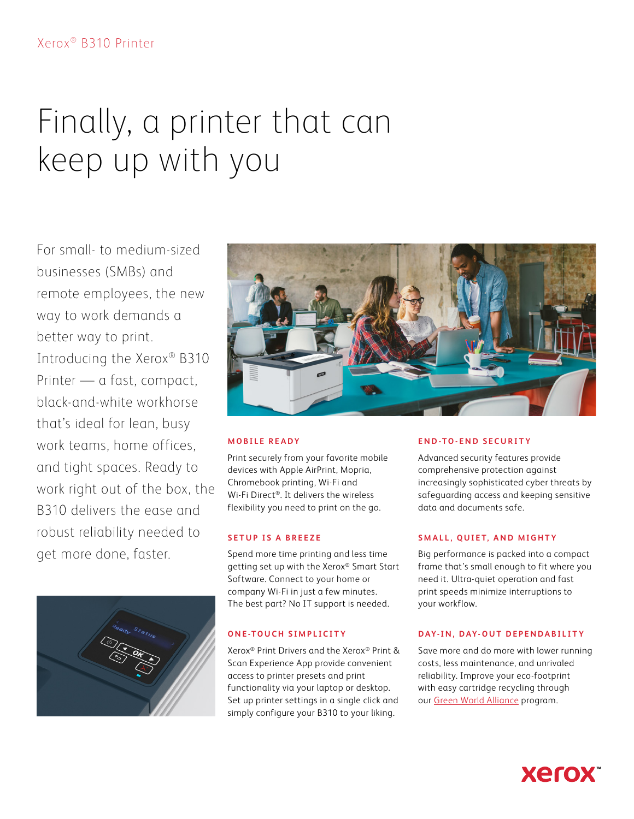# Finally, a printer that can keep up with you

For small- to medium-sized businesses (SMBs) and remote employees, the new way to work demands a better way to print. Introducing the Xerox® B310 Printer — a fast, compact, black-and-white workhorse that's ideal for lean, busy work teams, home offices, and tight spaces. Ready to work right out of the box, the B310 delivers the ease and robust reliability needed to get more done, faster.





# **MOBILE READY**

Print securely from your favorite mobile devices with Apple AirPrint, Mopria, Chromebook printing, Wi-Fi and Wi-Fi Direct®. It delivers the wireless flexibility you need to print on the go.

### **SETUP IS A BREEZE**

Spend more time printing and less time getting set up with the Xerox® Smart Start Software. Connect to your home or company Wi-Fi in just a few minutes. The best part? No IT support is needed.

### **ONE-TOUCH SIMPLICITY**

Xerox® Print Drivers and the Xerox® Print & Scan Experience App provide convenient access to printer presets and print functionality via your laptop or desktop. Set up printer settings in a single click and simply configure your B310 to your liking.

### **END-TO-END SECURITY**

Advanced security features provide comprehensive protection against increasingly sophisticated cyber threats by safeguarding access and keeping sensitive data and documents safe.

### **SMALL, QUIET, AND MIGHTY**

Big performance is packed into a compact frame that's small enough to fit where you need it. Ultra-quiet operation and fast print speeds minimize interruptions to your workflow.

### **DAY-IN, DAY-OUT DEPENDABILITY**

Save more and do more with lower running costs, less maintenance, and unrivaled reliability. Improve your eco-footprint with easy cartridge recycling through our [Green World Alliance](https://www.xerox.com/gwa) program.